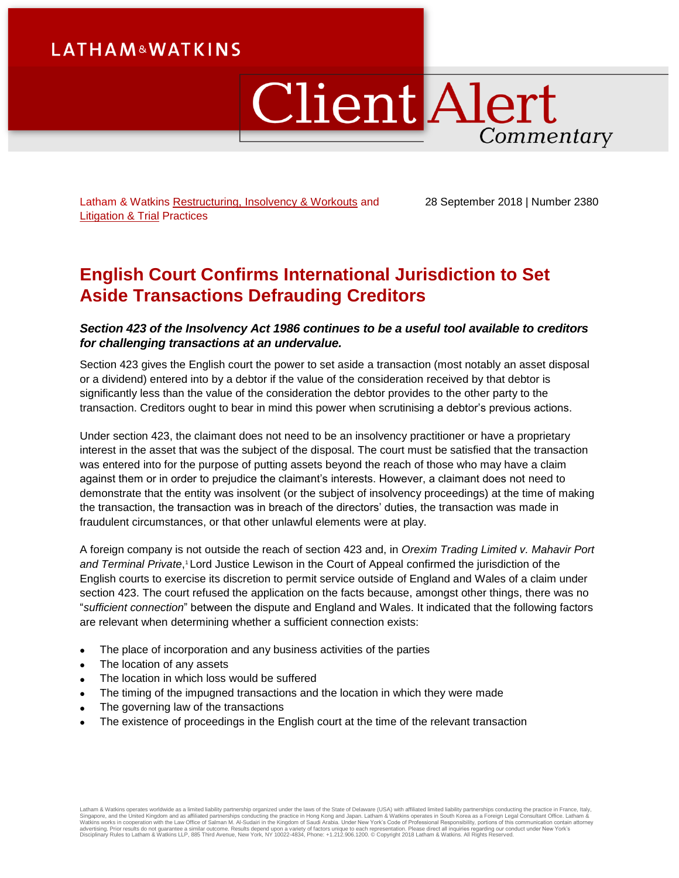# **LATHAM&WATKINS**

# ClientAlert Commentary

Latham & Watkins [Restructuring, Insolvency & Workouts](https://www.lw.com/practices/Restructuring-InsolvencyAndWorkouts) and [Litigation &](https://www.lw.com/practices/LitigationandTrialPractice) Trial Practices

28 September 2018 | Number 2380

## **English Court Confirms International Jurisdiction to Set Aside Transactions Defrauding Creditors**

#### *Section 423 of the Insolvency Act 1986 continues to be a useful tool available to creditors for challenging transactions at an undervalue.*

Section 423 gives the English court the power to set aside a transaction (most notably an asset disposal or a dividend) entered into by a debtor if the value of the consideration received by that debtor is significantly less than the value of the consideration the debtor provides to the other party to the transaction. Creditors ought to bear in mind this power when scrutinising a debtor's previous actions.

Under section 423, the claimant does not need to be an insolvency practitioner or have a proprietary interest in the asset that was the subject of the disposal. The court must be satisfied that the transaction was entered into for the purpose of putting assets beyond the reach of those who may have a claim against them or in order to prejudice the claimant's interests. However, a claimant does not need to demonstrate that the entity was insolvent (or the subject of insolvency proceedings) at the time of making the transaction, the transaction was in breach of the directors' duties, the transaction was made in fraudulent circumstances, or that other unlawful elements were at play.

A foreign company is not outside the reach of section 423 and, in *Orexim Trading Limited v. Mahavir Port*  and Terminal Private,<sup>1</sup> Lord Justice Lewison in the Court of Appeal confirmed the jurisdiction of the English courts to exercise its discretion to permit service outside of England and Wales of a claim under section 423. The court refused the application on the facts because, amongst other things, there was no "*sufficient connection*" between the dispute and England and Wales. It indicated that the following factors are relevant when determining whether a sufficient connection exists:

- The place of incorporation and any business activities of the parties
- The location of any assets
- The location in which loss would be suffered
- The timing of the impugned transactions and the location in which they were made
- The governing law of the transactions
- The existence of proceedings in the English court at the time of the relevant transaction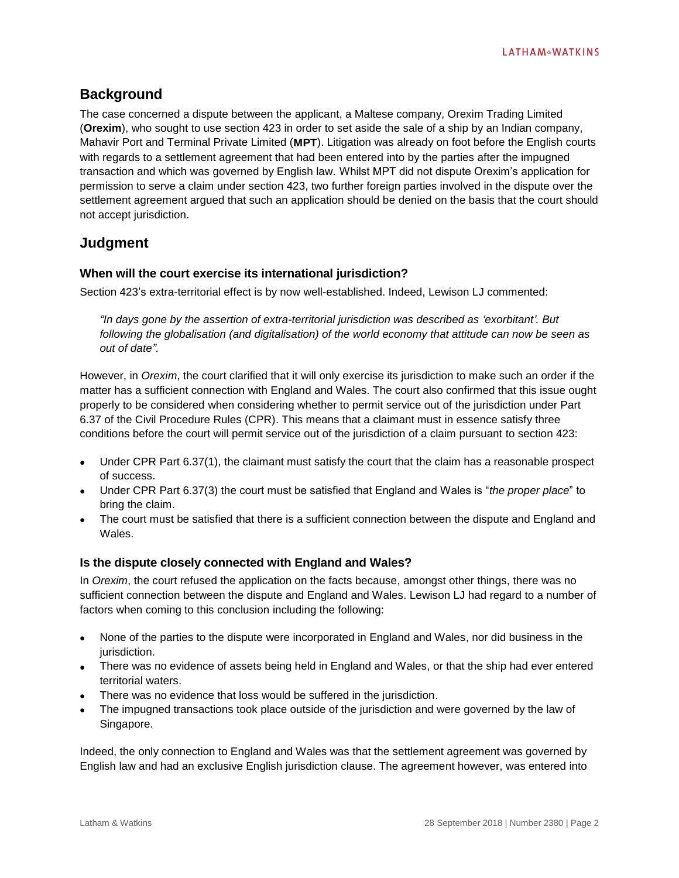## **Background**

The case concerned a dispute between the applicant, a Maltese company, Orexim Trading Limited (**Orexim**), who sought to use section 423 in order to set aside the sale of a ship by an Indian company, Mahavir Port and Terminal Private Limited (**MPT**). Litigation was already on foot before the English courts with regards to a settlement agreement that had been entered into by the parties after the impugned transaction and which was governed by English law. Whilst MPT did not dispute Orexim's application for permission to serve a claim under section 423, two further foreign parties involved in the dispute over the settlement agreement argued that such an application should be denied on the basis that the court should not accept jurisdiction.

## **Judgment**

#### **When will the court exercise its international jurisdiction?**

Section 423's extra-territorial effect is by now well-established. Indeed, Lewison LJ commented:

*"In days gone by the assertion of extra-territorial jurisdiction was described as 'exorbitant'. But following the globalisation (and digitalisation) of the world economy that attitude can now be seen as out of date".*

However, in *Orexim*, the court clarified that it will only exercise its jurisdiction to make such an order if the matter has a sufficient connection with England and Wales. The court also confirmed that this issue ought properly to be considered when considering whether to permit service out of the jurisdiction under Part 6.37 of the Civil Procedure Rules (CPR). This means that a claimant must in essence satisfy three conditions before the court will permit service out of the jurisdiction of a claim pursuant to section 423:

- Under CPR Part 6.37(1), the claimant must satisfy the court that the claim has a reasonable prospect of success.
- Under CPR Part 6.37(3) the court must be satisfied that England and Wales is "*the proper place*" to bring the claim.
- The court must be satisfied that there is a sufficient connection between the dispute and England and **Wales**

#### **Is the dispute closely connected with England and Wales?**

In *Orexim*, the court refused the application on the facts because, amongst other things, there was no sufficient connection between the dispute and England and Wales. Lewison LJ had regard to a number of factors when coming to this conclusion including the following:

- None of the parties to the dispute were incorporated in England and Wales, nor did business in the jurisdiction.
- There was no evidence of assets being held in England and Wales, or that the ship had ever entered territorial waters.
- There was no evidence that loss would be suffered in the jurisdiction.
- The impugned transactions took place outside of the jurisdiction and were governed by the law of Singapore.

Indeed, the only connection to England and Wales was that the settlement agreement was governed by English law and had an exclusive English jurisdiction clause. The agreement however, was entered into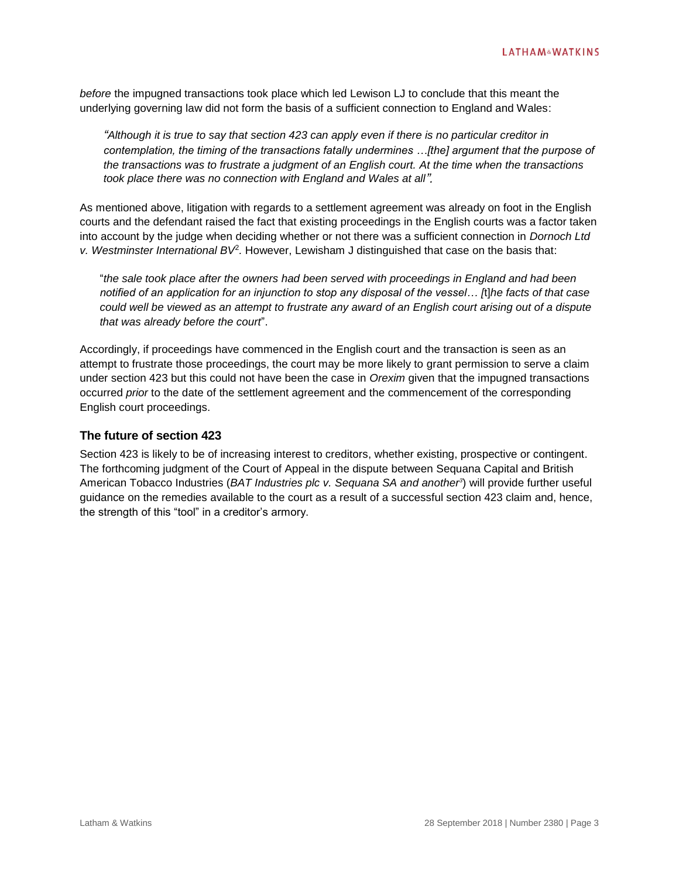*before* the impugned transactions took place which led Lewison LJ to conclude that this meant the underlying governing law did not form the basis of a sufficient connection to England and Wales:

*"Although it is true to say that section 423 can apply even if there is no particular creditor in contemplation, the timing of the transactions fatally undermines …[the] argument that the purpose of the transactions was to frustrate a judgment of an English court. At the time when the transactions took place there was no connection with England and Wales at all".*

As mentioned above, litigation with regards to a settlement agreement was already on foot in the English courts and the defendant raised the fact that existing proceedings in the English courts was a factor taken into account by the judge when deciding whether or not there was a sufficient connection in *Dornoch Ltd*  v. Westminster International BV<sup>2</sup>. However, Lewisham J distinguished that case on the basis that:

"*the sale took place after the owners had been served with proceedings in England and had been notified of an application for an injunction to stop any disposal of the vessel… [*t]*he facts of that case could well be viewed as an attempt to frustrate any award of an English court arising out of a dispute that was already before the court*".

Accordingly, if proceedings have commenced in the English court and the transaction is seen as an attempt to frustrate those proceedings, the court may be more likely to grant permission to serve a claim under section 423 but this could not have been the case in *Orexim* given that the impugned transactions occurred *prior* to the date of the settlement agreement and the commencement of the corresponding English court proceedings.

#### **The future of section 423**

Section 423 is likely to be of increasing interest to creditors, whether existing, prospective or contingent. The forthcoming judgment of the Court of Appeal in the dispute between Sequana Capital and British American Tobacco Industries (*BAT Industries plc v. Sequana SA and another<sup>3</sup>* ) will provide further useful guidance on the remedies available to the court as a result of a successful section 423 claim and, hence, the strength of this "tool" in a creditor's armory.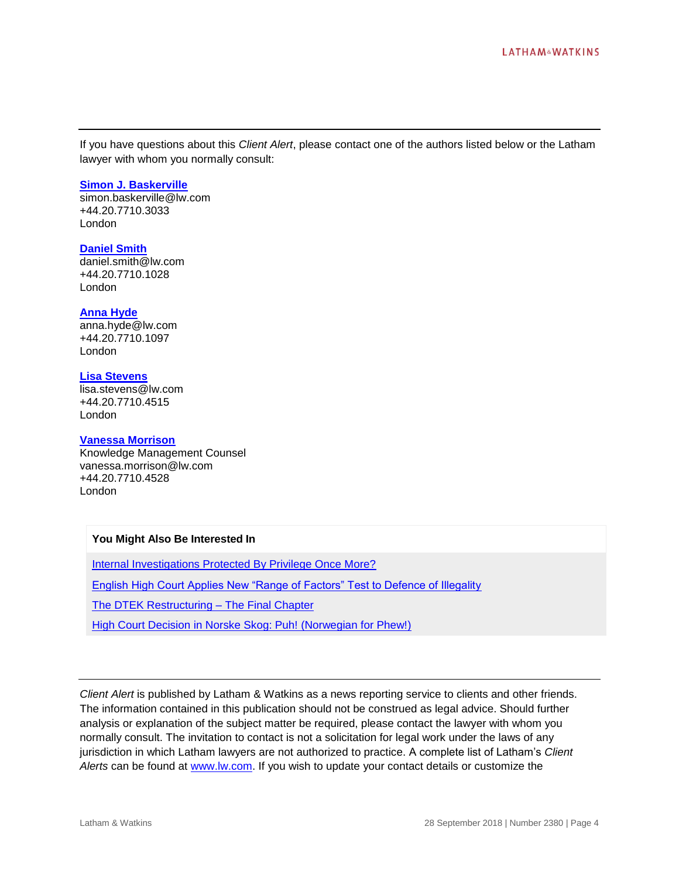If you have questions about this *Client Alert*, please contact one of the authors listed below or the Latham lawyer with whom you normally consult:

#### **[Simon J. Baskerville](https://www.lw.com/people/simon-baskerville)**

[simon.baskerville@lw.com](mailto:simon.baskerville@lw.com) +44.20.7710.3033 London

#### **[Daniel Smith](https://www.lw.com/people/daniel-smith)**

[daniel.smith@lw.com](mailto:daniel.smith@lw.com) +44.20.7710.1028 London

#### **[Anna Hyde](https://www.lw.com/people/anna-hyde)**

[anna.hyde@lw.com](mailto:anna.hyde@lw.com) +44.20.7710.1097 London

#### **[Lisa Stevens](https://www.lw.com/people/lisa-stevens)**

[lisa.stevens@lw.com](mailto:lisa.stevens@lw.com) +44.20.7710.4515 London

#### **[Vanessa Morrison](https://www.lw.com/people/vanessa-morrison)**

Knowledge Management Counsel [vanessa.morrison@lw.com](mailto:vanessa.morrison@lw.com) +44.20.7710.4528 London

#### **You Might Also Be Interested In**

[Internal Investigations Protected By Privilege Once More?](https://www.latham.london/2018/09/internal-investigations-protected-by-privilege-once-more/)

[English High Court Applies New "Range of Factors" Test to Defence of Illegality](https://www.latham.london/2018/04/english-high-court-applies-new-range-of-factors-test-to-defence-of-illegality/)

[The DTEK Restructuring –](https://www.lw.com/thoughtLeadership/DTEK-restructuring-final-chapter) The Final Chapter

High Court Decision [in Norske Skog: Puh! \(Norwegian for Phew!\)](https://www.latham.london/2018/04/high-court-decision-in-norske-skog-puh-norwegian-for-phew/)

*Client Alert* is published by Latham & Watkins as a news reporting service to clients and other friends. The information contained in this publication should not be construed as legal advice. Should further analysis or explanation of the subject matter be required, please contact the lawyer with whom you normally consult. The invitation to contact is not a solicitation for legal work under the laws of any jurisdiction in which Latham lawyers are not authorized to practice. A complete list of Latham's *Client Alerts* can be found at [www.lw.com.](http://www.lw.com/) If you wish to update your contact details or customize the